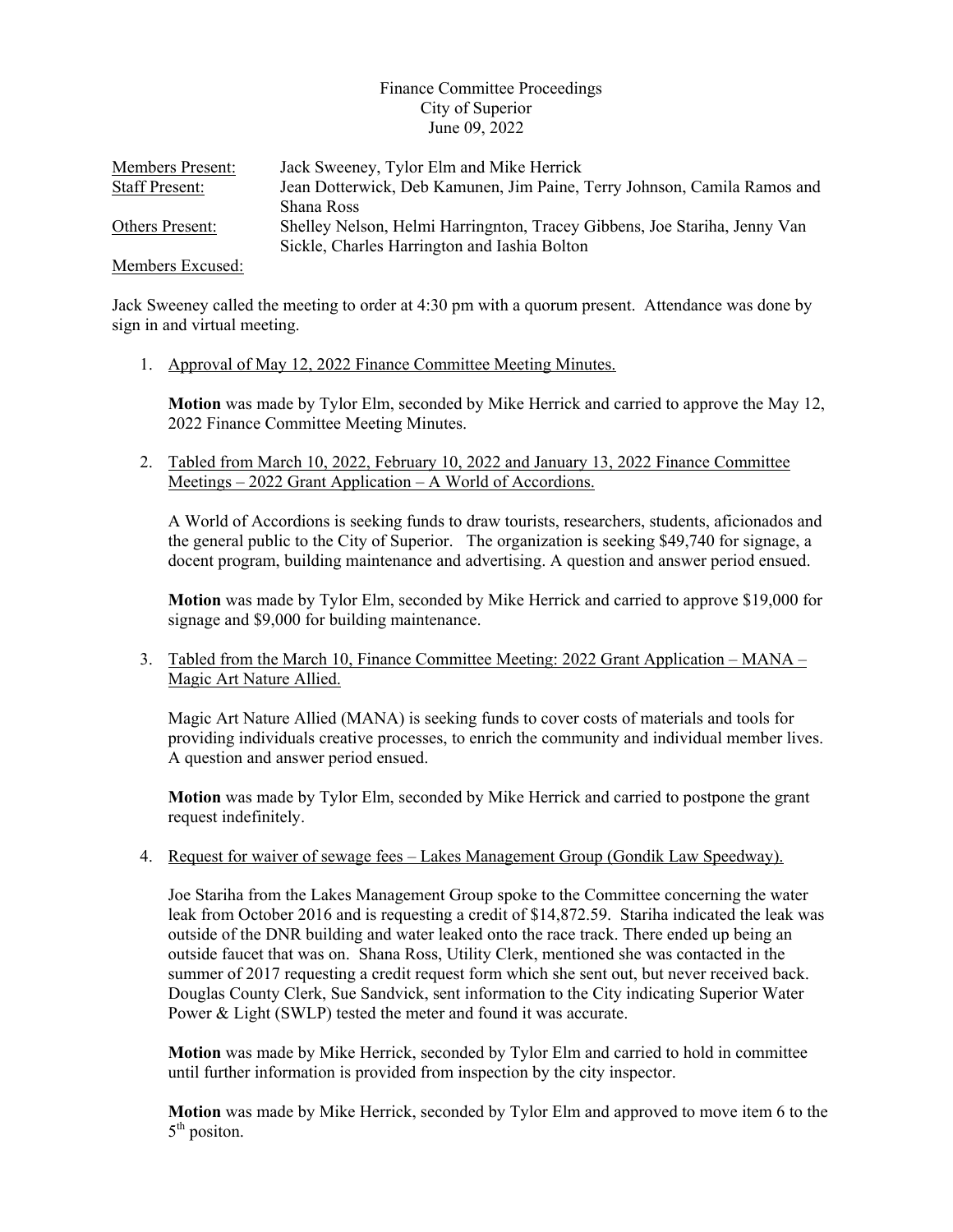## Finance Committee Proceedings City of Superior June 09, 2022

| <b>Members Present:</b> | Jack Sweeney, Tylor Elm and Mike Herrick                                                                                  |
|-------------------------|---------------------------------------------------------------------------------------------------------------------------|
| <b>Staff Present:</b>   | Jean Dotterwick, Deb Kamunen, Jim Paine, Terry Johnson, Camila Ramos and                                                  |
|                         | Shana Ross                                                                                                                |
| <b>Others Present:</b>  | Shelley Nelson, Helmi Harringnton, Tracey Gibbens, Joe Stariha, Jenny Van<br>Sickle, Charles Harrington and Iashia Bolton |

Members Excused:

Jack Sweeney called the meeting to order at 4:30 pm with a quorum present. Attendance was done by sign in and virtual meeting.

1. Approval of May 12, 2022 Finance Committee Meeting Minutes.

**Motion** was made by Tylor Elm, seconded by Mike Herrick and carried to approve the May 12, 2022 Finance Committee Meeting Minutes.

2. Tabled from March 10, 2022, February 10, 2022 and January 13, 2022 Finance Committee Meetings – 2022 Grant Application – A World of Accordions.

A World of Accordions is seeking funds to draw tourists, researchers, students, aficionados and the general public to the City of Superior. The organization is seeking \$49,740 for signage, a docent program, building maintenance and advertising. A question and answer period ensued.

**Motion** was made by Tylor Elm, seconded by Mike Herrick and carried to approve \$19,000 for signage and \$9,000 for building maintenance.

3. Tabled from the March 10, Finance Committee Meeting: 2022 Grant Application – MANA – Magic Art Nature Allied.

Magic Art Nature Allied (MANA) is seeking funds to cover costs of materials and tools for providing individuals creative processes, to enrich the community and individual member lives. A question and answer period ensued.

**Motion** was made by Tylor Elm, seconded by Mike Herrick and carried to postpone the grant request indefinitely.

4. Request for waiver of sewage fees – Lakes Management Group (Gondik Law Speedway).

Joe Stariha from the Lakes Management Group spoke to the Committee concerning the water leak from October 2016 and is requesting a credit of \$14,872.59. Stariha indicated the leak was outside of the DNR building and water leaked onto the race track. There ended up being an outside faucet that was on. Shana Ross, Utility Clerk, mentioned she was contacted in the summer of 2017 requesting a credit request form which she sent out, but never received back. Douglas County Clerk, Sue Sandvick, sent information to the City indicating Superior Water Power & Light (SWLP) tested the meter and found it was accurate.

**Motion** was made by Mike Herrick, seconded by Tylor Elm and carried to hold in committee until further information is provided from inspection by the city inspector.

**Motion** was made by Mike Herrick, seconded by Tylor Elm and approved to move item 6 to the  $5<sup>th</sup>$  positon.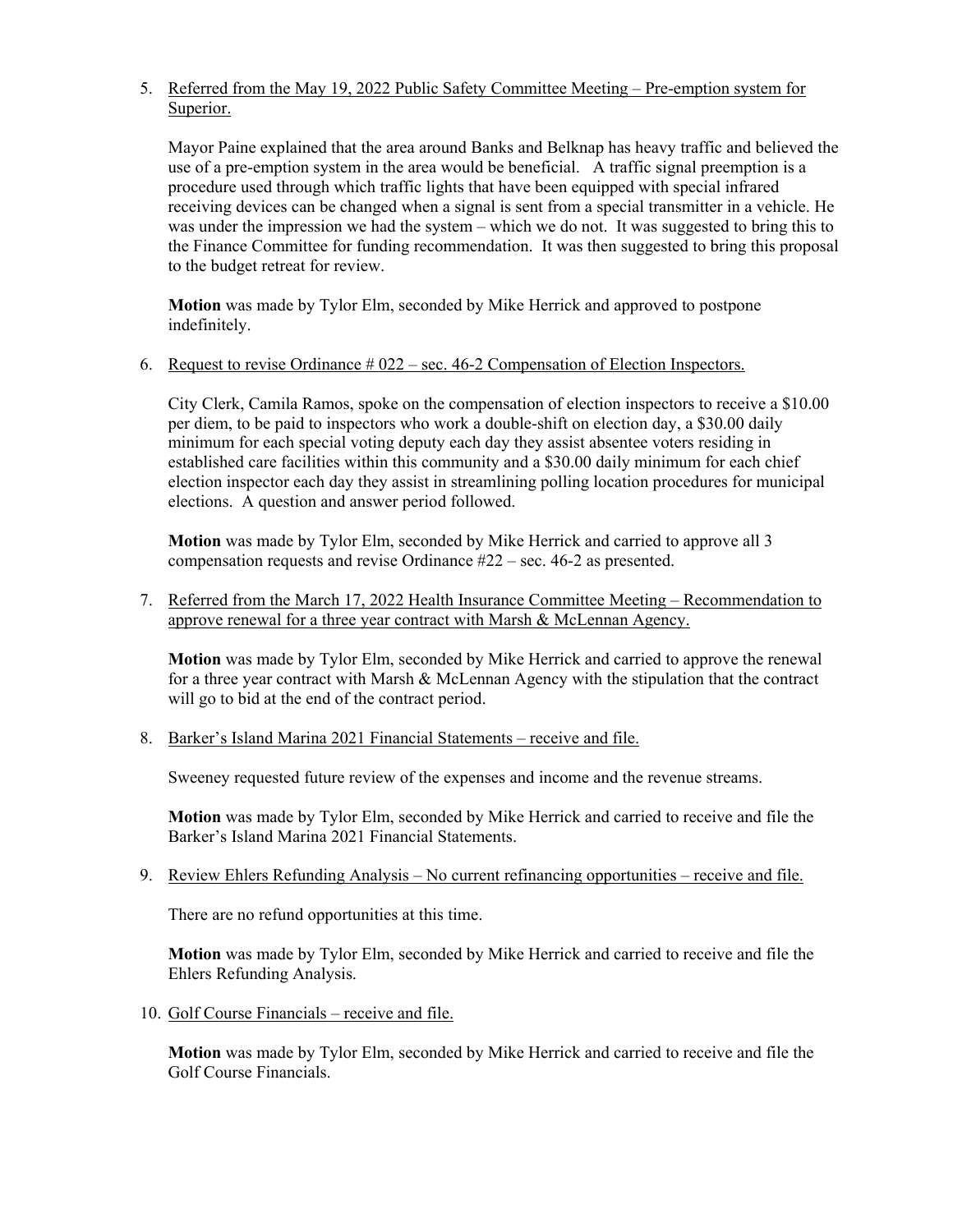## 5. Referred from the May 19, 2022 Public Safety Committee Meeting – Pre-emption system for Superior.

Mayor Paine explained that the area around Banks and Belknap has heavy traffic and believed the use of a pre-emption system in the area would be beneficial. A traffic signal preemption is a procedure used through which traffic lights that have been equipped with special infrared receiving devices can be changed when a signal is sent from a special transmitter in a vehicle. He was under the impression we had the system – which we do not. It was suggested to bring this to the Finance Committee for funding recommendation. It was then suggested to bring this proposal to the budget retreat for review.

**Motion** was made by Tylor Elm, seconded by Mike Herrick and approved to postpone indefinitely.

6. Request to revise Ordinance  $\#022$  – sec. 46-2 Compensation of Election Inspectors.

City Clerk, Camila Ramos, spoke on the compensation of election inspectors to receive a \$10.00 per diem, to be paid to inspectors who work a double-shift on election day, a \$30.00 daily minimum for each special voting deputy each day they assist absentee voters residing in established care facilities within this community and a \$30.00 daily minimum for each chief election inspector each day they assist in streamlining polling location procedures for municipal elections. A question and answer period followed.

**Motion** was made by Tylor Elm, seconded by Mike Herrick and carried to approve all 3 compensation requests and revise Ordinance #22 – sec. 46-2 as presented.

7. Referred from the March 17, 2022 Health Insurance Committee Meeting – Recommendation to approve renewal for a three year contract with Marsh & McLennan Agency.

**Motion** was made by Tylor Elm, seconded by Mike Herrick and carried to approve the renewal for a three year contract with Marsh & McLennan Agency with the stipulation that the contract will go to bid at the end of the contract period.

8. Barker's Island Marina 2021 Financial Statements – receive and file.

Sweeney requested future review of the expenses and income and the revenue streams.

**Motion** was made by Tylor Elm, seconded by Mike Herrick and carried to receive and file the Barker's Island Marina 2021 Financial Statements.

9. Review Ehlers Refunding Analysis – No current refinancing opportunities – receive and file.

There are no refund opportunities at this time.

**Motion** was made by Tylor Elm, seconded by Mike Herrick and carried to receive and file the Ehlers Refunding Analysis.

10. Golf Course Financials – receive and file.

**Motion** was made by Tylor Elm, seconded by Mike Herrick and carried to receive and file the Golf Course Financials.